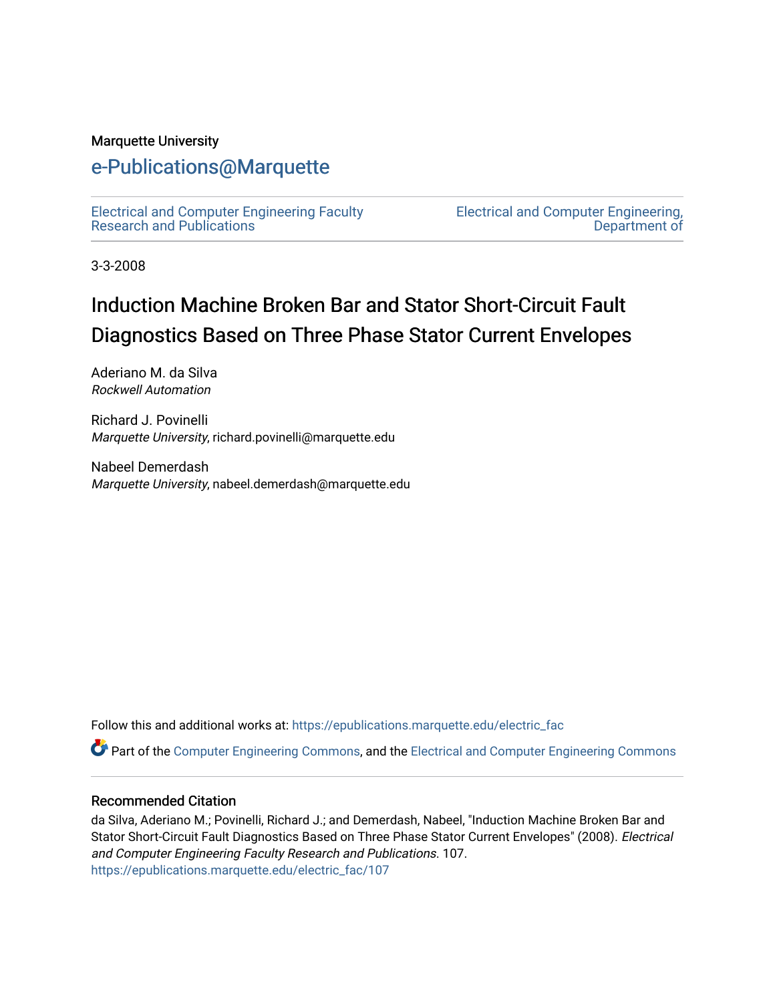#### Marquette University

### [e-Publications@Marquette](https://epublications.marquette.edu/)

[Electrical and Computer Engineering Faculty](https://epublications.marquette.edu/electric_fac) [Research and Publications](https://epublications.marquette.edu/electric_fac) 

[Electrical and Computer Engineering,](https://epublications.marquette.edu/electric)  [Department of](https://epublications.marquette.edu/electric) 

3-3-2008

# Induction Machine Broken Bar and Stator Short-Circuit Fault Diagnostics Based on Three Phase Stator Current Envelopes

Aderiano M. da Silva Rockwell Automation

Richard J. Povinelli Marquette University, richard.povinelli@marquette.edu

Nabeel Demerdash Marquette University, nabeel.demerdash@marquette.edu

Follow this and additional works at: [https://epublications.marquette.edu/electric\\_fac](https://epublications.marquette.edu/electric_fac?utm_source=epublications.marquette.edu%2Felectric_fac%2F107&utm_medium=PDF&utm_campaign=PDFCoverPages) 

Part of the [Computer Engineering Commons,](http://network.bepress.com/hgg/discipline/258?utm_source=epublications.marquette.edu%2Felectric_fac%2F107&utm_medium=PDF&utm_campaign=PDFCoverPages) and the [Electrical and Computer Engineering Commons](http://network.bepress.com/hgg/discipline/266?utm_source=epublications.marquette.edu%2Felectric_fac%2F107&utm_medium=PDF&utm_campaign=PDFCoverPages)

#### Recommended Citation

da Silva, Aderiano M.; Povinelli, Richard J.; and Demerdash, Nabeel, "Induction Machine Broken Bar and Stator Short-Circuit Fault Diagnostics Based on Three Phase Stator Current Envelopes" (2008). Electrical and Computer Engineering Faculty Research and Publications. 107. [https://epublications.marquette.edu/electric\\_fac/107](https://epublications.marquette.edu/electric_fac/107?utm_source=epublications.marquette.edu%2Felectric_fac%2F107&utm_medium=PDF&utm_campaign=PDFCoverPages)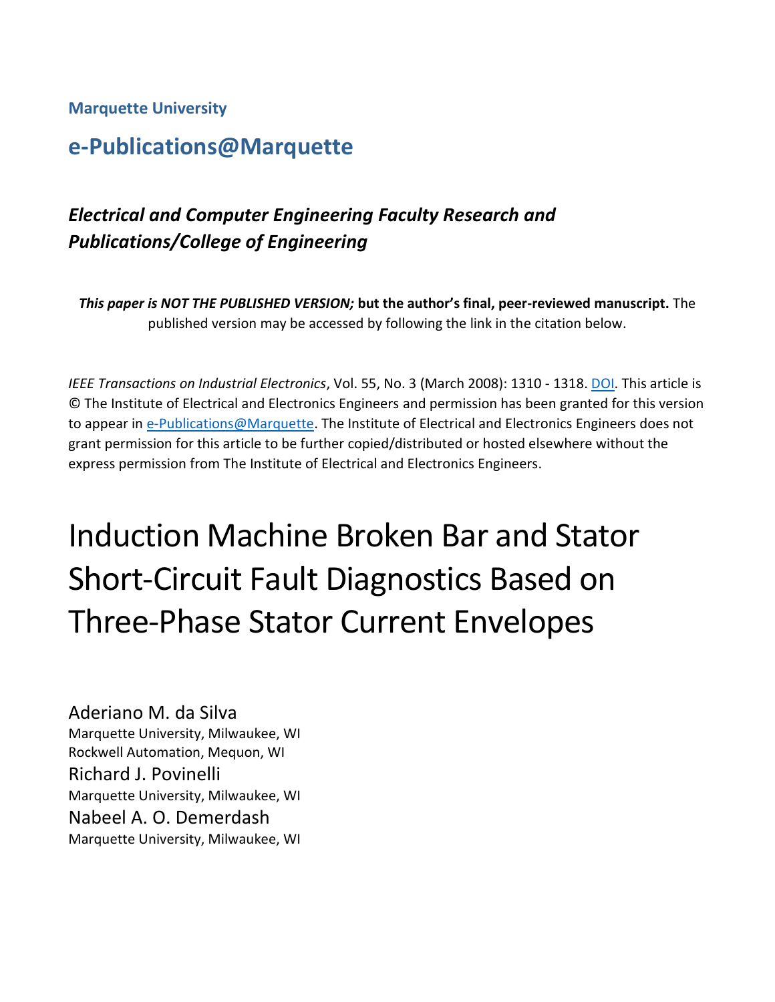**Marquette University**

# **e-Publications@Marquette**

## *Electrical and Computer Engineering Faculty Research and Publications/College of Engineering*

*This paper is NOT THE PUBLISHED VERSION;* **but the author's final, peer-reviewed manuscript.** The published version may be accessed by following the link in the citation below.

*IEEE Transactions on Industrial Electronics*, Vol. 55, No. 3 (March 2008): 1310 - 1318. [DOI.](https://doi.org/10.1109/TIE.2007.909060) This article is © The Institute of Electrical and Electronics Engineers and permission has been granted for this version to appear in [e-Publications@Marquette.](http://epublications.marquette.edu/) The Institute of Electrical and Electronics Engineers does not grant permission for this article to be further copied/distributed or hosted elsewhere without the express permission from The Institute of Electrical and Electronics Engineers.

# Induction Machine Broken Bar and Stator Short-Circuit Fault Diagnostics Based on Three-Phase Stator Current Envelopes

Aderiano M. da Silva Marquette University, Milwaukee, WI Rockwell Automation, Mequon, WI Richard J. Povinelli Marquette University, Milwaukee, WI Nabeel A. O. Demerdash Marquette University, Milwaukee, WI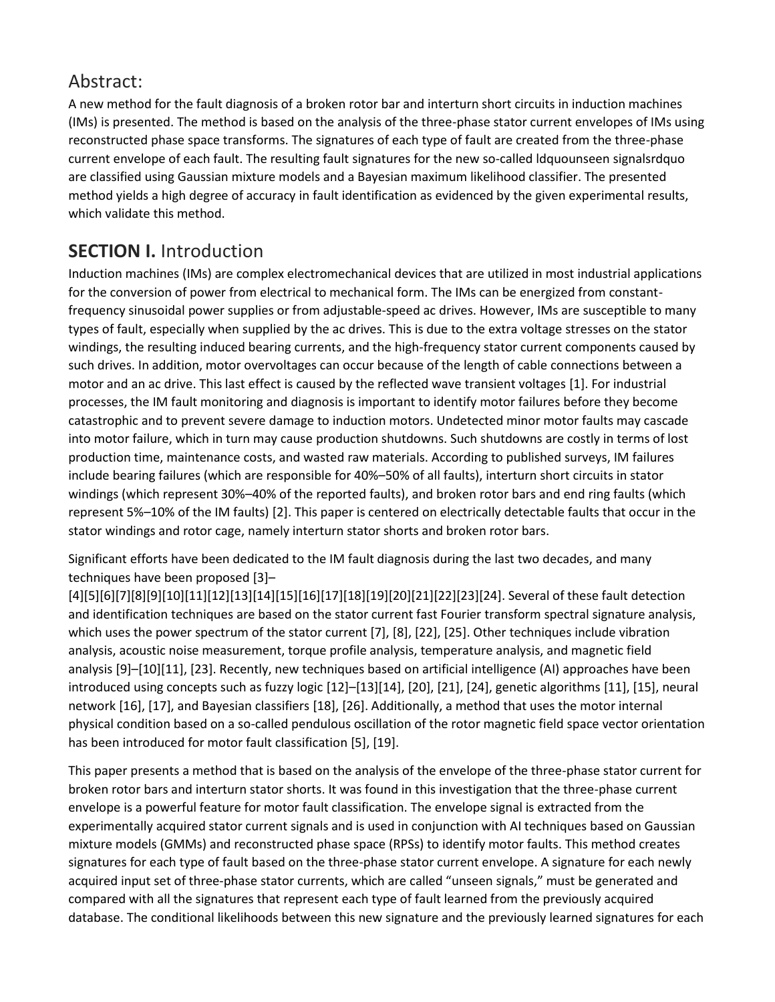### Abstract:

A new method for the fault diagnosis of a broken rotor bar and interturn short circuits in induction machines (IMs) is presented. The method is based on the analysis of the three-phase stator current envelopes of IMs using reconstructed phase space transforms. The signatures of each type of fault are created from the three-phase current envelope of each fault. The resulting fault signatures for the new so-called ldquounseen signalsrdquo are classified using Gaussian mixture models and a Bayesian maximum likelihood classifier. The presented method yields a high degree of accuracy in fault identification as evidenced by the given experimental results, which validate this method.

## **SECTION I.** Introduction

Induction machines (IMs) are complex electromechanical devices that are utilized in most industrial applications for the conversion of power from electrical to mechanical form. The IMs can be energized from constantfrequency sinusoidal power supplies or from adjustable-speed ac drives. However, IMs are susceptible to many types of fault, especially when supplied by the ac drives. This is due to the extra voltage stresses on the stator windings, the resulting induced bearing currents, and the high-frequency stator current components caused by such drives. In addition, motor overvoltages can occur because of the length of cable connections between a motor and an ac drive. This last effect is caused by the reflected wave transient voltages [1]. For industrial processes, the IM fault monitoring and diagnosis is important to identify motor failures before they become catastrophic and to prevent severe damage to induction motors. Undetected minor motor faults may cascade into motor failure, which in turn may cause production shutdowns. Such shutdowns are costly in terms of lost production time, maintenance costs, and wasted raw materials. According to published surveys, IM failures include bearing failures (which are responsible for 40%–50% of all faults), interturn short circuits in stator windings (which represent 30%–40% of the reported faults), and broken rotor bars and end ring faults (which represent 5%–10% of the IM faults) [2]. This paper is centered on electrically detectable faults that occur in the stator windings and rotor cage, namely interturn stator shorts and broken rotor bars.

Significant efforts have been dedicated to the IM fault diagnosis during the last two decades, and many techniques have been proposed [3]–

[4][5][6][7][8][9][10][11][12][13][14][15][16][17][18][19][20][21][22][23][24]. Several of these fault detection and identification techniques are based on the stator current fast Fourier transform spectral signature analysis, which uses the power spectrum of the stator current [7], [8], [22], [25]. Other techniques include vibration analysis, acoustic noise measurement, torque profile analysis, temperature analysis, and magnetic field analysis [9]–[10][11], [23]. Recently, new techniques based on artificial intelligence (AI) approaches have been introduced using concepts such as fuzzy logic [12]–[13][14], [20], [21], [24], genetic algorithms [11], [15], neural network [16], [17], and Bayesian classifiers [18], [26]. Additionally, a method that uses the motor internal physical condition based on a so-called pendulous oscillation of the rotor magnetic field space vector orientation has been introduced for motor fault classification [5], [19].

This paper presents a method that is based on the analysis of the envelope of the three-phase stator current for broken rotor bars and interturn stator shorts. It was found in this investigation that the three-phase current envelope is a powerful feature for motor fault classification. The envelope signal is extracted from the experimentally acquired stator current signals and is used in conjunction with AI techniques based on Gaussian mixture models (GMMs) and reconstructed phase space (RPSs) to identify motor faults. This method creates signatures for each type of fault based on the three-phase stator current envelope. A signature for each newly acquired input set of three-phase stator currents, which are called "unseen signals," must be generated and compared with all the signatures that represent each type of fault learned from the previously acquired database. The conditional likelihoods between this new signature and the previously learned signatures for each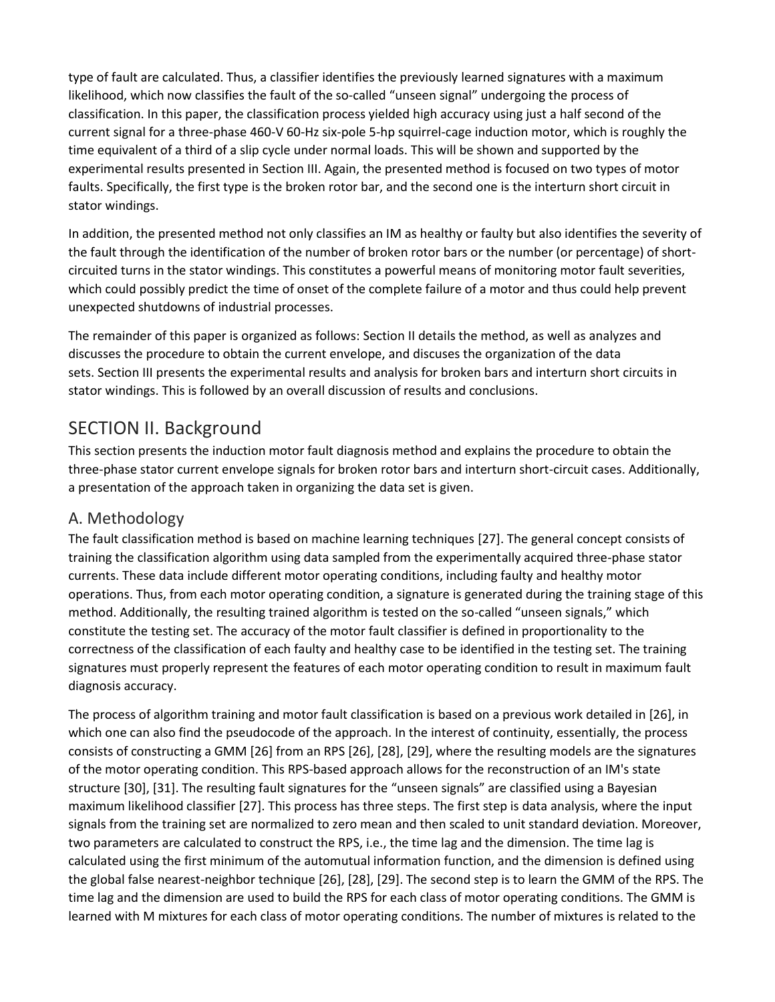type of fault are calculated. Thus, a classifier identifies the previously learned signatures with a maximum likelihood, which now classifies the fault of the so-called "unseen signal" undergoing the process of classification. In this paper, the classification process yielded high accuracy using just a half second of the current signal for a three-phase 460-V 60-Hz six-pole 5-hp squirrel-cage induction motor, which is roughly the time equivalent of a third of a slip cycle under normal loads. This will be shown and supported by the experimental results presented in Section III. Again, the presented method is focused on two types of motor faults. Specifically, the first type is the broken rotor bar, and the second one is the interturn short circuit in stator windings.

In addition, the presented method not only classifies an IM as healthy or faulty but also identifies the severity of the fault through the identification of the number of broken rotor bars or the number (or percentage) of shortcircuited turns in the stator windings. This constitutes a powerful means of monitoring motor fault severities, which could possibly predict the time of onset of the complete failure of a motor and thus could help prevent unexpected shutdowns of industrial processes.

The remainder of this paper is organized as follows: Section II details the method, as well as analyzes and discusses the procedure to obtain the current envelope, and discuses the organization of the data sets. Section III presents the experimental results and analysis for broken bars and interturn short circuits in stator windings. This is followed by an overall discussion of results and conclusions.

#### SECTION II. Background

This section presents the induction motor fault diagnosis method and explains the procedure to obtain the three-phase stator current envelope signals for broken rotor bars and interturn short-circuit cases. Additionally, a presentation of the approach taken in organizing the data set is given.

#### A. Methodology

The fault classification method is based on machine learning techniques [27]. The general concept consists of training the classification algorithm using data sampled from the experimentally acquired three-phase stator currents. These data include different motor operating conditions, including faulty and healthy motor operations. Thus, from each motor operating condition, a signature is generated during the training stage of this method. Additionally, the resulting trained algorithm is tested on the so-called "unseen signals," which constitute the testing set. The accuracy of the motor fault classifier is defined in proportionality to the correctness of the classification of each faulty and healthy case to be identified in the testing set. The training signatures must properly represent the features of each motor operating condition to result in maximum fault diagnosis accuracy.

The process of algorithm training and motor fault classification is based on a previous work detailed in [26], in which one can also find the pseudocode of the approach. In the interest of continuity, essentially, the process consists of constructing a GMM [26] from an RPS [26], [28], [29], where the resulting models are the signatures of the motor operating condition. This RPS-based approach allows for the reconstruction of an IM's state structure [30], [31]. The resulting fault signatures for the "unseen signals" are classified using a Bayesian maximum likelihood classifier [27]. This process has three steps. The first step is data analysis, where the input signals from the training set are normalized to zero mean and then scaled to unit standard deviation. Moreover, two parameters are calculated to construct the RPS, i.e., the time lag and the dimension. The time lag is calculated using the first minimum of the automutual information function, and the dimension is defined using the global false nearest-neighbor technique [26], [28], [29]. The second step is to learn the GMM of the RPS. The time lag and the dimension are used to build the RPS for each class of motor operating conditions. The GMM is learned with M mixtures for each class of motor operating conditions. The number of mixtures is related to the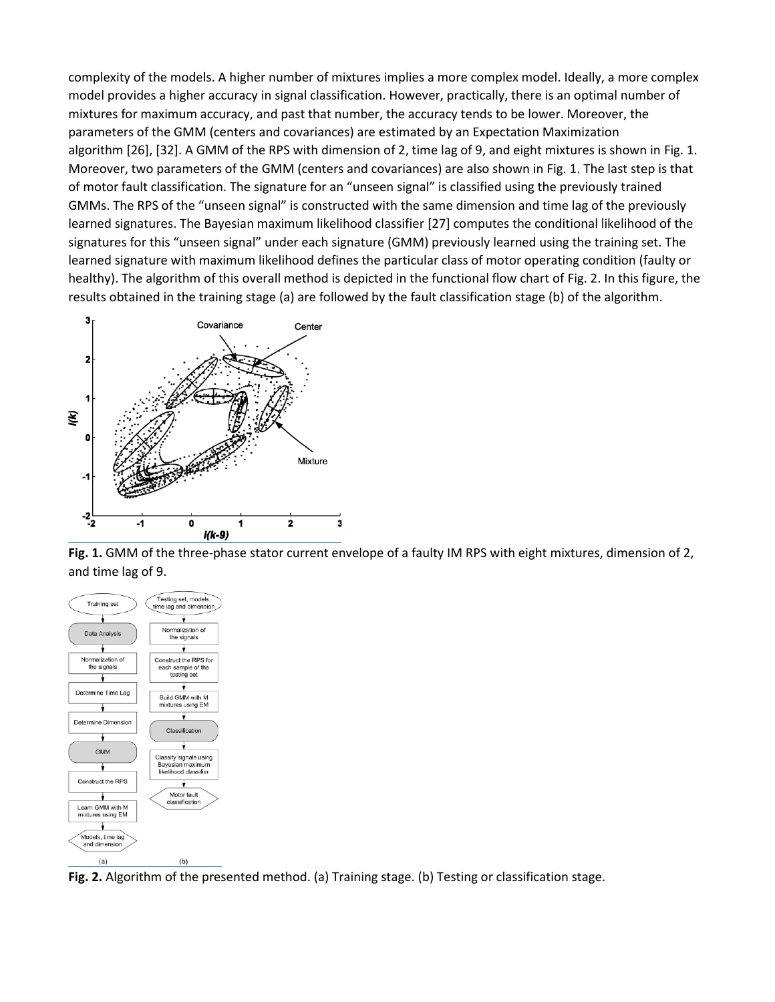complexity of the models. A higher number of mixtures implies a more complex model. Ideally, a more complex model provides a higher accuracy in signal classification. However, practically, there is an optimal number of mixtures for maximum accuracy, and past that number, the accuracy tends to be lower. Moreover, the parameters of the GMM (centers and covariances) are estimated by an Expectation Maximization algorithm [26], [32]. A GMM of the RPS with dimension of 2, time lag of 9, and eight mixtures is shown in Fig. 1. Moreover, two parameters of the GMM (centers and covariances) are also shown in Fig. 1. The last step is that of motor fault classification. The signature for an "unseen signal" is classified using the previously trained GMMs. The RPS of the "unseen signal" is constructed with the same dimension and time lag of the previously learned signatures. The Bayesian maximum likelihood classifier [27] computes the conditional likelihood of the signatures for this "unseen signal" under each signature (GMM) previously learned using the training set. The learned signature with maximum likelihood defines the particular class of motor operating condition (faulty or healthy). The algorithm of this overall method is depicted in the functional flow chart of Fig. 2. In this figure, the results obtained in the training stage (a) are followed by the fault classification stage (b) of the algorithm.



**Fig. 1.** GMM of the three-phase stator current envelope of a faulty IM RPS with eight mixtures, dimension of 2, and time lag of 9.



**Fig. 2.** Algorithm of the presented method. (a) Training stage. (b) Testing or classification stage.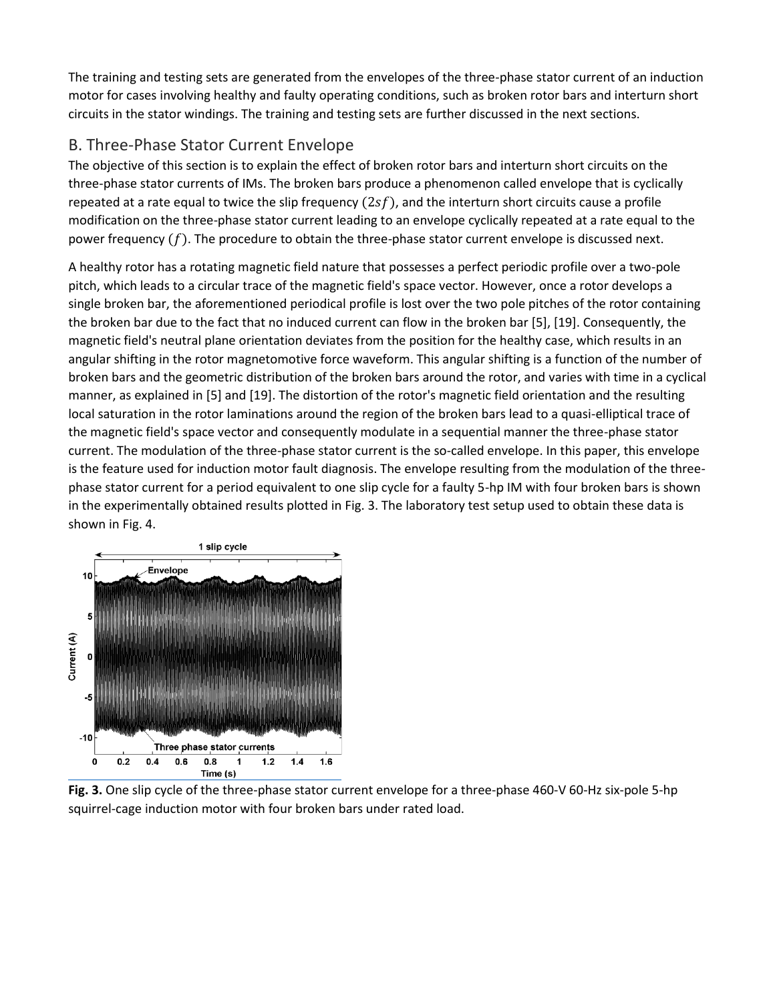The training and testing sets are generated from the envelopes of the three-phase stator current of an induction motor for cases involving healthy and faulty operating conditions, such as broken rotor bars and interturn short circuits in the stator windings. The training and testing sets are further discussed in the next sections.

#### B. Three-Phase Stator Current Envelope

The objective of this section is to explain the effect of broken rotor bars and interturn short circuits on the three-phase stator currents of IMs. The broken bars produce a phenomenon called envelope that is cyclically repeated at a rate equal to twice the slip frequency  $(2sf)$ , and the interturn short circuits cause a profile modification on the three-phase stator current leading to an envelope cyclically repeated at a rate equal to the power frequency  $(f)$ . The procedure to obtain the three-phase stator current envelope is discussed next.

A healthy rotor has a rotating magnetic field nature that possesses a perfect periodic profile over a two-pole pitch, which leads to a circular trace of the magnetic field's space vector. However, once a rotor develops a single broken bar, the aforementioned periodical profile is lost over the two pole pitches of the rotor containing the broken bar due to the fact that no induced current can flow in the broken bar [5], [19]. Consequently, the magnetic field's neutral plane orientation deviates from the position for the healthy case, which results in an angular shifting in the rotor magnetomotive force waveform. This angular shifting is a function of the number of broken bars and the geometric distribution of the broken bars around the rotor, and varies with time in a cyclical manner, as explained in [5] and [19]. The distortion of the rotor's magnetic field orientation and the resulting local saturation in the rotor laminations around the region of the broken bars lead to a quasi-elliptical trace of the magnetic field's space vector and consequently modulate in a sequential manner the three-phase stator current. The modulation of the three-phase stator current is the so-called envelope. In this paper, this envelope is the feature used for induction motor fault diagnosis. The envelope resulting from the modulation of the threephase stator current for a period equivalent to one slip cycle for a faulty 5-hp IM with four broken bars is shown in the experimentally obtained results plotted in Fig. 3. The laboratory test setup used to obtain these data is shown in Fig. 4.



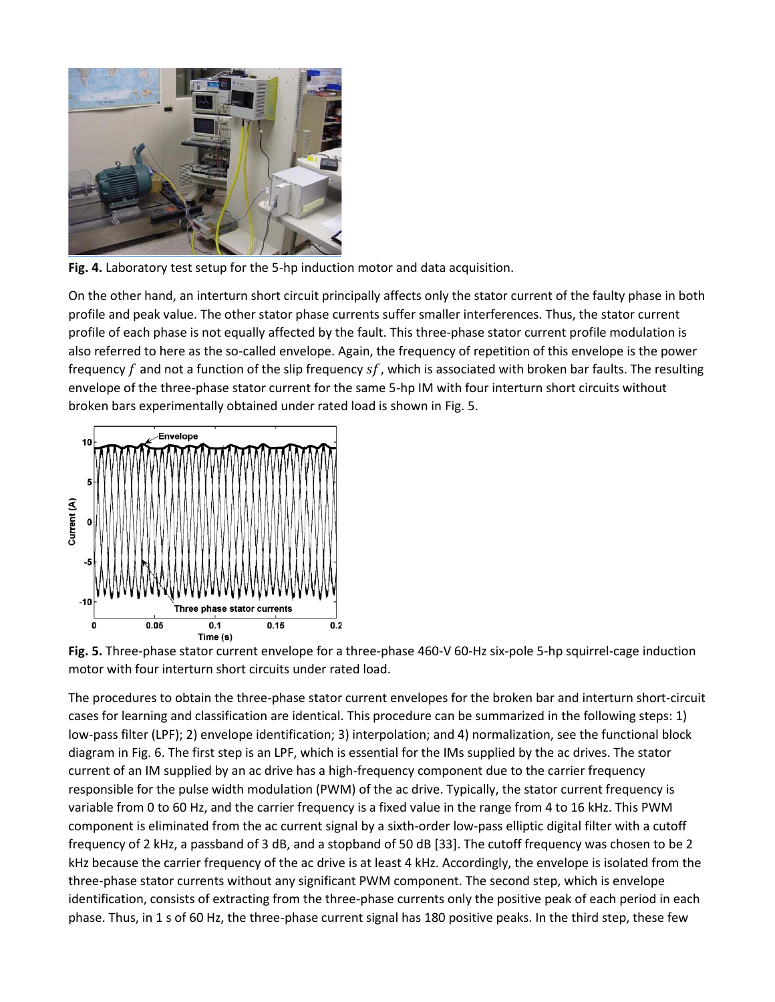

**Fig. 4.** Laboratory test setup for the 5-hp induction motor and data acquisition.

On the other hand, an interturn short circuit principally affects only the stator current of the faulty phase in both profile and peak value. The other stator phase currents suffer smaller interferences. Thus, the stator current profile of each phase is not equally affected by the fault. This three-phase stator current profile modulation is also referred to here as the so-called envelope. Again, the frequency of repetition of this envelope is the power frequency  $f$  and not a function of the slip frequency  $sf$ , which is associated with broken bar faults. The resulting envelope of the three-phase stator current for the same 5-hp IM with four interturn short circuits without broken bars experimentally obtained under rated load is shown in Fig. 5.



**Fig. 5.** Three-phase stator current envelope for a three-phase 460-V 60-Hz six-pole 5-hp squirrel-cage induction motor with four interturn short circuits under rated load.

The procedures to obtain the three-phase stator current envelopes for the broken bar and interturn short-circuit cases for learning and classification are identical. This procedure can be summarized in the following steps: 1) low-pass filter (LPF); 2) envelope identification; 3) interpolation; and 4) normalization, see the functional block diagram in Fig. 6. The first step is an LPF, which is essential for the IMs supplied by the ac drives. The stator current of an IM supplied by an ac drive has a high-frequency component due to the carrier frequency responsible for the pulse width modulation (PWM) of the ac drive. Typically, the stator current frequency is variable from 0 to 60 Hz, and the carrier frequency is a fixed value in the range from 4 to 16 kHz. This PWM component is eliminated from the ac current signal by a sixth-order low-pass elliptic digital filter with a cutoff frequency of 2 kHz, a passband of 3 dB, and a stopband of 50 dB [33]. The cutoff frequency was chosen to be 2 kHz because the carrier frequency of the ac drive is at least 4 kHz. Accordingly, the envelope is isolated from the three-phase stator currents without any significant PWM component. The second step, which is envelope identification, consists of extracting from the three-phase currents only the positive peak of each period in each phase. Thus, in 1 s of 60 Hz, the three-phase current signal has 180 positive peaks. In the third step, these few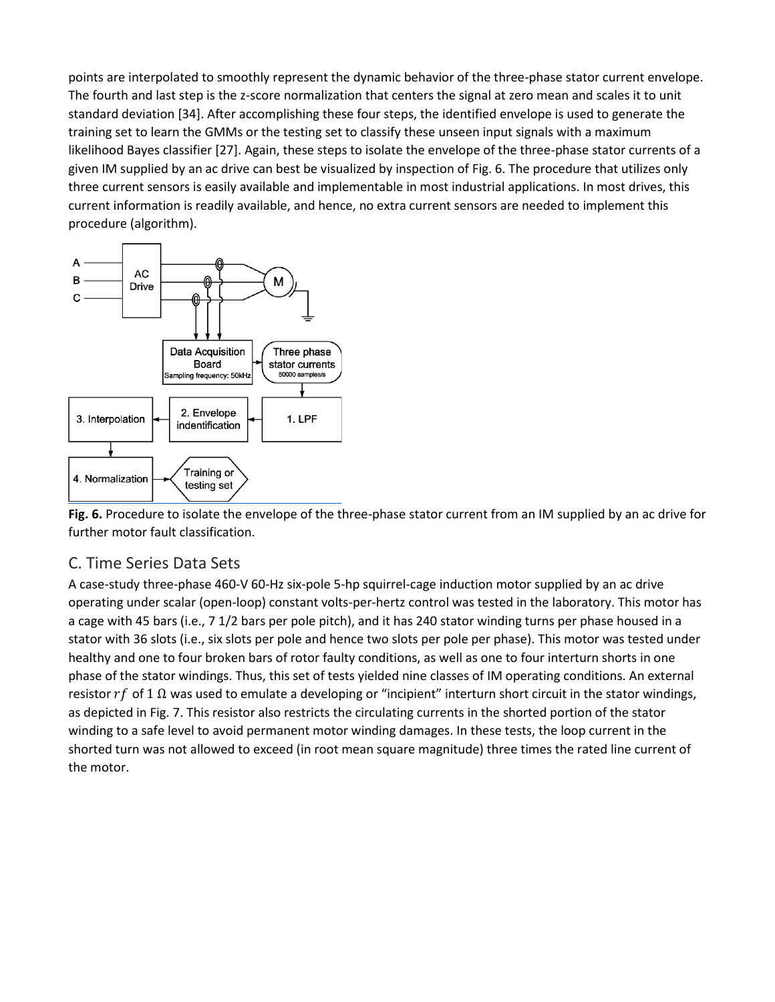points are interpolated to smoothly represent the dynamic behavior of the three-phase stator current envelope. The fourth and last step is the z-score normalization that centers the signal at zero mean and scales it to unit standard deviation [34]. After accomplishing these four steps, the identified envelope is used to generate the training set to learn the GMMs or the testing set to classify these unseen input signals with a maximum likelihood Bayes classifier [27]. Again, these steps to isolate the envelope of the three-phase stator currents of a given IM supplied by an ac drive can best be visualized by inspection of Fig. 6. The procedure that utilizes only three current sensors is easily available and implementable in most industrial applications. In most drives, this current information is readily available, and hence, no extra current sensors are needed to implement this procedure (algorithm).



**Fig. 6.** Procedure to isolate the envelope of the three-phase stator current from an IM supplied by an ac drive for further motor fault classification.

#### C. Time Series Data Sets

A case-study three-phase 460-V 60-Hz six-pole 5-hp squirrel-cage induction motor supplied by an ac drive operating under scalar (open-loop) constant volts-per-hertz control was tested in the laboratory. This motor has a cage with 45 bars (i.e., 7 1/2 bars per pole pitch), and it has 240 stator winding turns per phase housed in a stator with 36 slots (i.e., six slots per pole and hence two slots per pole per phase). This motor was tested under healthy and one to four broken bars of rotor faulty conditions, as well as one to four interturn shorts in one phase of the stator windings. Thus, this set of tests yielded nine classes of IM operating conditions. An external resistor  $rf$  of 1  $\Omega$  was used to emulate a developing or "incipient" interturn short circuit in the stator windings, as depicted in Fig. 7. This resistor also restricts the circulating currents in the shorted portion of the stator winding to a safe level to avoid permanent motor winding damages. In these tests, the loop current in the shorted turn was not allowed to exceed (in root mean square magnitude) three times the rated line current of the motor.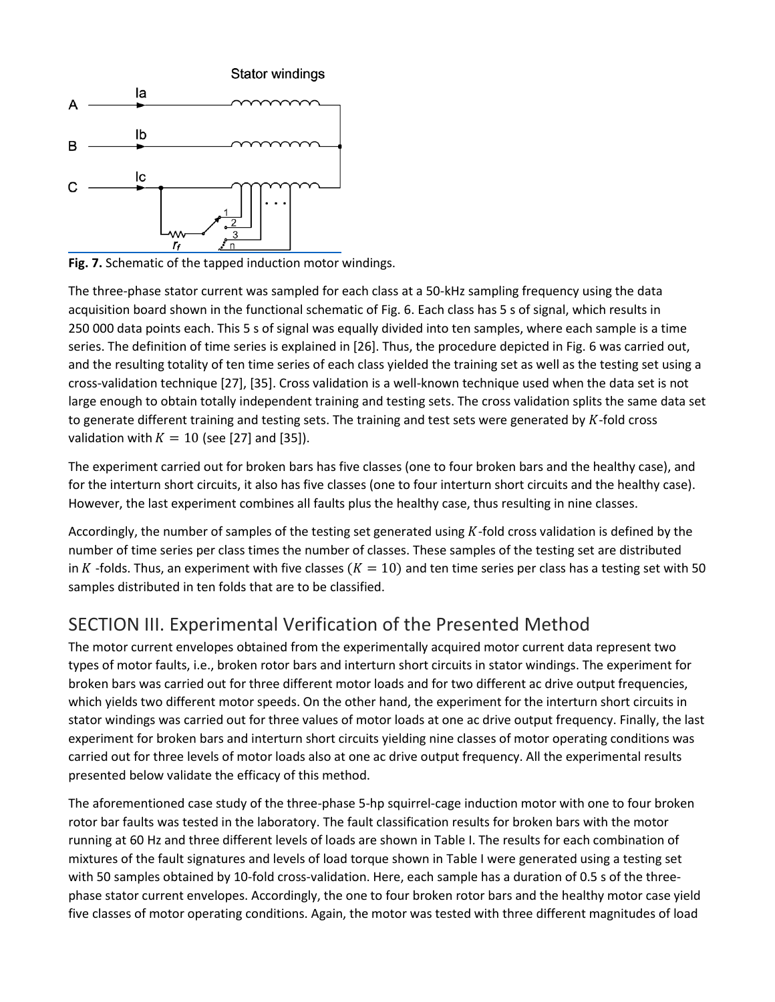

**Fig. 7.** Schematic of the tapped induction motor windings.

The three-phase stator current was sampled for each class at a 50-kHz sampling frequency using the data acquisition board shown in the functional schematic of Fig. 6. Each class has 5 s of signal, which results in 250 000 data points each. This 5 s of signal was equally divided into ten samples, where each sample is a time series. The definition of time series is explained in [26]. Thus, the procedure depicted in Fig. 6 was carried out, and the resulting totality of ten time series of each class yielded the training set as well as the testing set using a cross-validation technique [27], [35]. Cross validation is a well-known technique used when the data set is not large enough to obtain totally independent training and testing sets. The cross validation splits the same data set to generate different training and testing sets. The training and test sets were generated by  $K$ -fold cross validation with  $K = 10$  (see [27] and [35]).

The experiment carried out for broken bars has five classes (one to four broken bars and the healthy case), and for the interturn short circuits, it also has five classes (one to four interturn short circuits and the healthy case). However, the last experiment combines all faults plus the healthy case, thus resulting in nine classes.

Accordingly, the number of samples of the testing set generated using K-fold cross validation is defined by the number of time series per class times the number of classes. These samples of the testing set are distributed in K -folds. Thus, an experiment with five classes ( $K = 10$ ) and ten time series per class has a testing set with 50 samples distributed in ten folds that are to be classified.

## SECTION III. Experimental Verification of the Presented Method

The motor current envelopes obtained from the experimentally acquired motor current data represent two types of motor faults, i.e., broken rotor bars and interturn short circuits in stator windings. The experiment for broken bars was carried out for three different motor loads and for two different ac drive output frequencies, which yields two different motor speeds. On the other hand, the experiment for the interturn short circuits in stator windings was carried out for three values of motor loads at one ac drive output frequency. Finally, the last experiment for broken bars and interturn short circuits yielding nine classes of motor operating conditions was carried out for three levels of motor loads also at one ac drive output frequency. All the experimental results presented below validate the efficacy of this method.

The aforementioned case study of the three-phase 5-hp squirrel-cage induction motor with one to four broken rotor bar faults was tested in the laboratory. The fault classification results for broken bars with the motor running at 60 Hz and three different levels of loads are shown in Table I. The results for each combination of mixtures of the fault signatures and levels of load torque shown in Table I were generated using a testing set with 50 samples obtained by 10-fold cross-validation. Here, each sample has a duration of 0.5 s of the threephase stator current envelopes. Accordingly, the one to four broken rotor bars and the healthy motor case yield five classes of motor operating conditions. Again, the motor was tested with three different magnitudes of load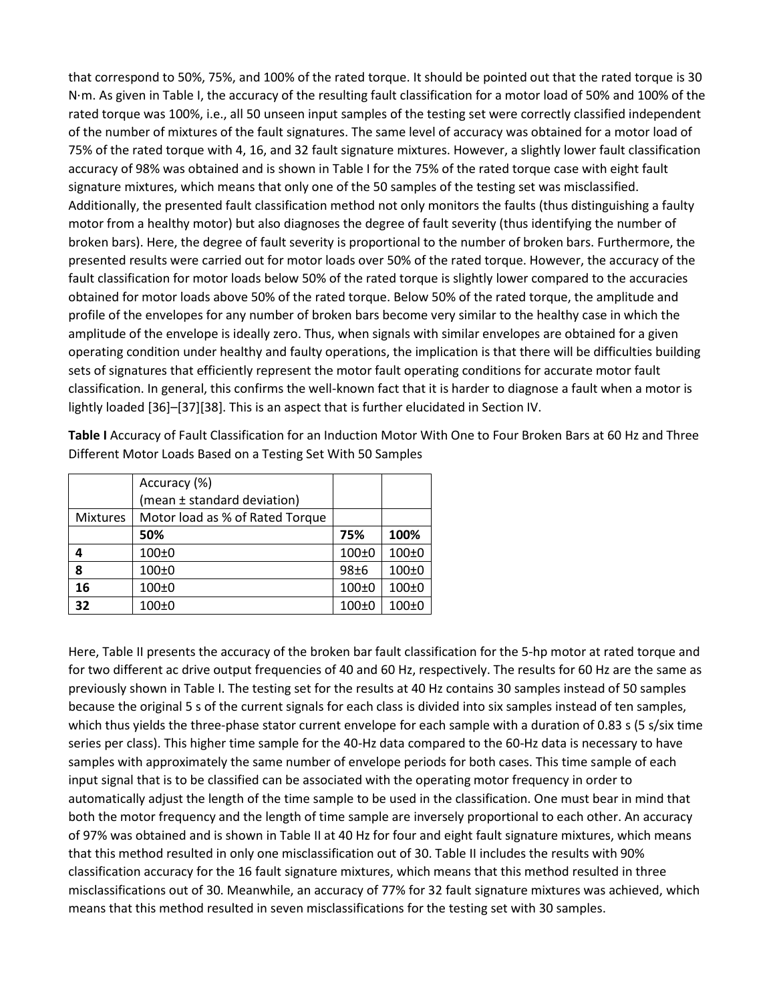that correspond to 50%, 75%, and 100% of the rated torque. It should be pointed out that the rated torque is 30 N⋅m. As given in Table I, the accuracy of the resulting fault classification for a motor load of 50% and 100% of the rated torque was 100%, i.e., all 50 unseen input samples of the testing set were correctly classified independent of the number of mixtures of the fault signatures. The same level of accuracy was obtained for a motor load of 75% of the rated torque with 4, 16, and 32 fault signature mixtures. However, a slightly lower fault classification accuracy of 98% was obtained and is shown in Table I for the 75% of the rated torque case with eight fault signature mixtures, which means that only one of the 50 samples of the testing set was misclassified. Additionally, the presented fault classification method not only monitors the faults (thus distinguishing a faulty motor from a healthy motor) but also diagnoses the degree of fault severity (thus identifying the number of broken bars). Here, the degree of fault severity is proportional to the number of broken bars. Furthermore, the presented results were carried out for motor loads over 50% of the rated torque. However, the accuracy of the fault classification for motor loads below 50% of the rated torque is slightly lower compared to the accuracies obtained for motor loads above 50% of the rated torque. Below 50% of the rated torque, the amplitude and profile of the envelopes for any number of broken bars become very similar to the healthy case in which the amplitude of the envelope is ideally zero. Thus, when signals with similar envelopes are obtained for a given operating condition under healthy and faulty operations, the implication is that there will be difficulties building sets of signatures that efficiently represent the motor fault operating conditions for accurate motor fault classification. In general, this confirms the well-known fact that it is harder to diagnose a fault when a motor is lightly loaded [36]–[37][38]. This is an aspect that is further elucidated in Section IV.

**Table I** Accuracy of Fault Classification for an Induction Motor With One to Four Broken Bars at 60 Hz and Three Different Motor Loads Based on a Testing Set With 50 Samples

|                 | Accuracy (%)                    |                   |                   |
|-----------------|---------------------------------|-------------------|-------------------|
|                 | (mean ± standard deviation)     |                   |                   |
| <b>Mixtures</b> | Motor load as % of Rated Torque |                   |                   |
|                 | 50%                             | 75%               | 100%              |
| 4               | $100+0$                         | $100+0$           | 100 <sub>±0</sub> |
| 8               | $100+0$                         | 98 <sub>±6</sub>  | $100+0$           |
| 16              | $100+0$                         | 100 <sub>±0</sub> | 100 <sub>±0</sub> |
| 32              | 100 <sub>±0</sub>               | 100 <sub>±0</sub> | 100 <sub>±0</sub> |

Here, Table II presents the accuracy of the broken bar fault classification for the 5-hp motor at rated torque and for two different ac drive output frequencies of 40 and 60 Hz, respectively. The results for 60 Hz are the same as previously shown in Table I. The testing set for the results at 40 Hz contains 30 samples instead of 50 samples because the original 5 s of the current signals for each class is divided into six samples instead of ten samples, which thus yields the three-phase stator current envelope for each sample with a duration of 0.83 s (5 s/six time series per class). This higher time sample for the 40-Hz data compared to the 60-Hz data is necessary to have samples with approximately the same number of envelope periods for both cases. This time sample of each input signal that is to be classified can be associated with the operating motor frequency in order to automatically adjust the length of the time sample to be used in the classification. One must bear in mind that both the motor frequency and the length of time sample are inversely proportional to each other. An accuracy of 97% was obtained and is shown in Table II at 40 Hz for four and eight fault signature mixtures, which means that this method resulted in only one misclassification out of 30. Table II includes the results with 90% classification accuracy for the 16 fault signature mixtures, which means that this method resulted in three misclassifications out of 30. Meanwhile, an accuracy of 77% for 32 fault signature mixtures was achieved, which means that this method resulted in seven misclassifications for the testing set with 30 samples.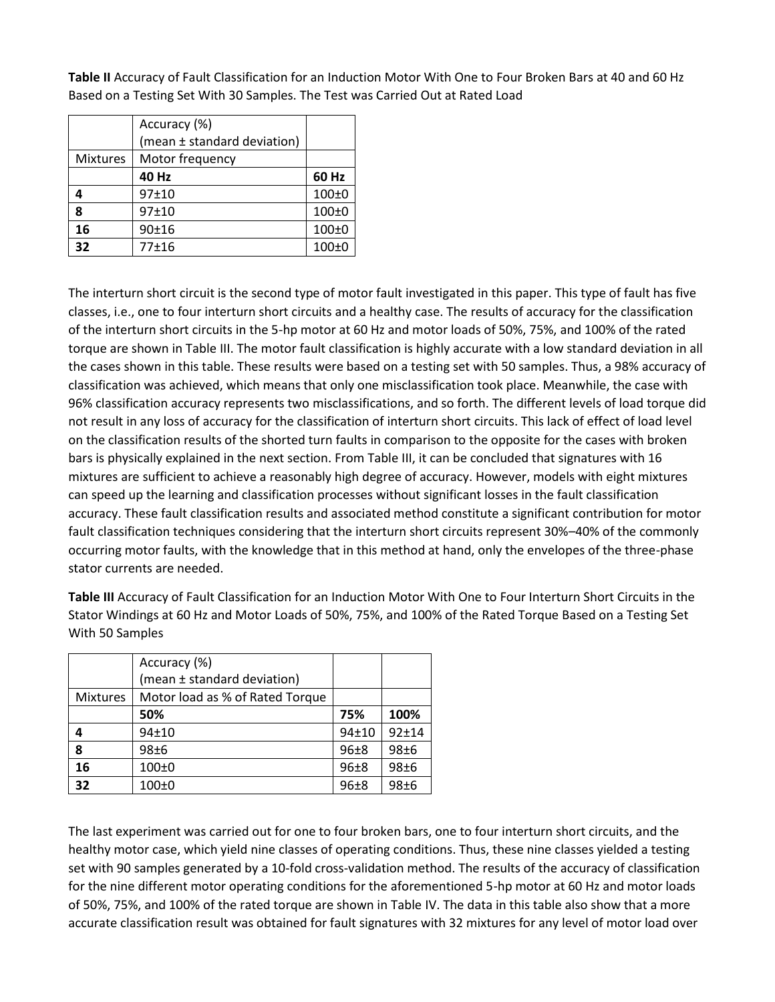**Table II** Accuracy of Fault Classification for an Induction Motor With One to Four Broken Bars at 40 and 60 Hz Based on a Testing Set With 30 Samples. The Test was Carried Out at Rated Load

|                 | Accuracy (%)                |           |
|-----------------|-----------------------------|-----------|
|                 | (mean ± standard deviation) |           |
| <b>Mixtures</b> | Motor frequency             |           |
|                 | 40 Hz                       | 60 Hz     |
|                 | 97±10                       | 100±0     |
| 8               | $97+10$                     | $100\pm0$ |
| 16              | $90 + 16$                   | $100\pm0$ |
| 32              | 77±16                       | $100 + 0$ |

The interturn short circuit is the second type of motor fault investigated in this paper. This type of fault has five classes, i.e., one to four interturn short circuits and a healthy case. The results of accuracy for the classification of the interturn short circuits in the 5-hp motor at 60 Hz and motor loads of 50%, 75%, and 100% of the rated torque are shown in Table III. The motor fault classification is highly accurate with a low standard deviation in all the cases shown in this table. These results were based on a testing set with 50 samples. Thus, a 98% accuracy of classification was achieved, which means that only one misclassification took place. Meanwhile, the case with 96% classification accuracy represents two misclassifications, and so forth. The different levels of load torque did not result in any loss of accuracy for the classification of interturn short circuits. This lack of effect of load level on the classification results of the shorted turn faults in comparison to the opposite for the cases with broken bars is physically explained in the next section. From Table III, it can be concluded that signatures with 16 mixtures are sufficient to achieve a reasonably high degree of accuracy. However, models with eight mixtures can speed up the learning and classification processes without significant losses in the fault classification accuracy. These fault classification results and associated method constitute a significant contribution for motor fault classification techniques considering that the interturn short circuits represent 30%–40% of the commonly occurring motor faults, with the knowledge that in this method at hand, only the envelopes of the three-phase stator currents are needed.

**Table III** Accuracy of Fault Classification for an Induction Motor With One to Four Interturn Short Circuits in the Stator Windings at 60 Hz and Motor Loads of 50%, 75%, and 100% of the Rated Torque Based on a Testing Set With 50 Samples

|                 | Accuracy (%)                    |           |           |  |  |
|-----------------|---------------------------------|-----------|-----------|--|--|
|                 | (mean ± standard deviation)     |           |           |  |  |
| <b>Mixtures</b> | Motor load as % of Rated Torque |           |           |  |  |
|                 | 50%                             | 75%       | 100%      |  |  |
| 4               | $94 + 10$                       | $94 + 10$ | $92 + 14$ |  |  |
| 8               | 98 <sup>±6</sup>                | $96 + 8$  | 98±6      |  |  |
| 16              | $100+0$                         | $96 + 8$  | 98±6      |  |  |
| 32              | $100 + 0$                       | $96 + 8$  | 98±6      |  |  |

The last experiment was carried out for one to four broken bars, one to four interturn short circuits, and the healthy motor case, which yield nine classes of operating conditions. Thus, these nine classes yielded a testing set with 90 samples generated by a 10-fold cross-validation method. The results of the accuracy of classification for the nine different motor operating conditions for the aforementioned 5-hp motor at 60 Hz and motor loads of 50%, 75%, and 100% of the rated torque are shown in Table IV. The data in this table also show that a more accurate classification result was obtained for fault signatures with 32 mixtures for any level of motor load over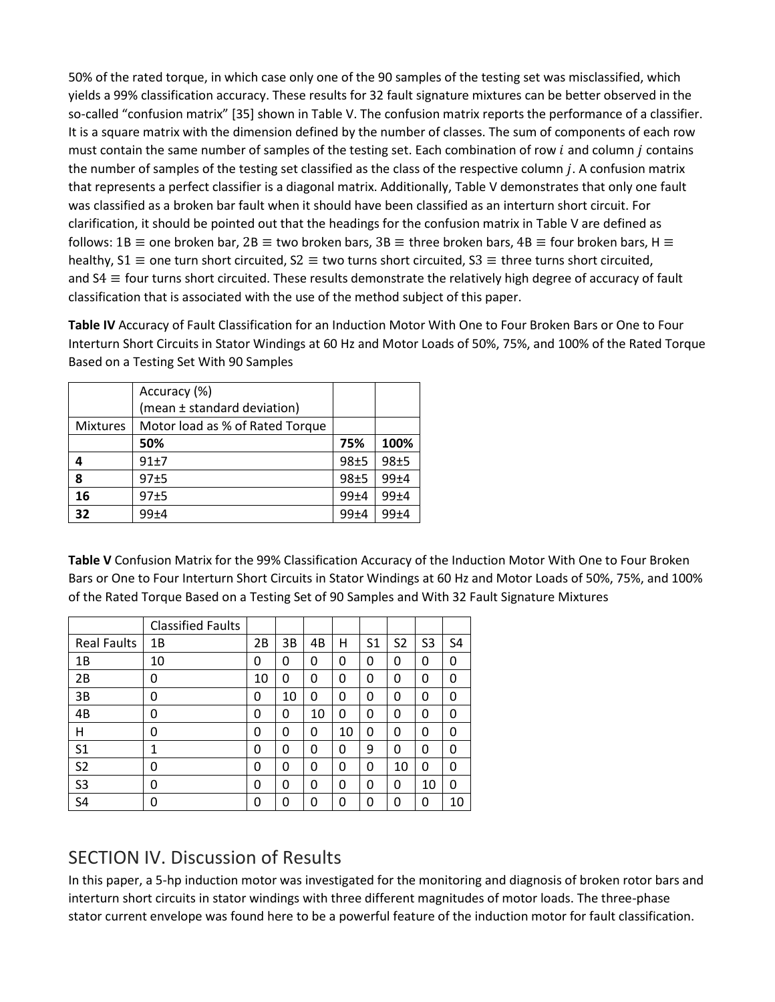50% of the rated torque, in which case only one of the 90 samples of the testing set was misclassified, which yields a 99% classification accuracy. These results for 32 fault signature mixtures can be better observed in the so-called "confusion matrix" [35] shown in Table V. The confusion matrix reports the performance of a classifier. It is a square matrix with the dimension defined by the number of classes. The sum of components of each row must contain the same number of samples of the testing set. Each combination of row  $i$  and column  $j$  contains the number of samples of the testing set classified as the class of the respective column  $j$ . A confusion matrix that represents a perfect classifier is a diagonal matrix. Additionally, Table V demonstrates that only one fault was classified as a broken bar fault when it should have been classified as an interturn short circuit. For clarification, it should be pointed out that the headings for the confusion matrix in Table V are defined as follows: 1B ≡ one broken bar, 2B ≡ two broken bars, 3B ≡ three broken bars, 4B ≡ four broken bars, H ≡ healthy, S1  $\equiv$  one turn short circuited, S2  $\equiv$  two turns short circuited, S3  $\equiv$  three turns short circuited, and S4 ≡ four turns short circuited. These results demonstrate the relatively high degree of accuracy of fault classification that is associated with the use of the method subject of this paper.

**Table IV** Accuracy of Fault Classification for an Induction Motor With One to Four Broken Bars or One to Four Interturn Short Circuits in Stator Windings at 60 Hz and Motor Loads of 50%, 75%, and 100% of the Rated Torque Based on a Testing Set With 90 Samples

|                 | Accuracy (%)                    |          |          |
|-----------------|---------------------------------|----------|----------|
|                 | (mean ± standard deviation)     |          |          |
| <b>Mixtures</b> | Motor load as % of Rated Torque |          |          |
|                 | 50%                             | 75%      | 100%     |
| 4               | 91±7                            | $98 + 5$ | $98 + 5$ |
| 8               | 97±5                            | $98 + 5$ | $99 + 4$ |
| 16              | 97±5                            | $99 + 4$ | $99 + 4$ |
| 32              | $99 + 4$                        | $99 + 4$ | $99 + 4$ |

**Table V** Confusion Matrix for the 99% Classification Accuracy of the Induction Motor With One to Four Broken Bars or One to Four Interturn Short Circuits in Stator Windings at 60 Hz and Motor Loads of 50%, 75%, and 100% of the Rated Torque Based on a Testing Set of 90 Samples and With 32 Fault Signature Mixtures

|                    | <b>Classified Faults</b> |    |    |    |    |                |                |                |    |
|--------------------|--------------------------|----|----|----|----|----------------|----------------|----------------|----|
| <b>Real Faults</b> | 1B                       | 2B | 3B | 4B | н  | S <sub>1</sub> | S <sub>2</sub> | S <sub>3</sub> | S4 |
| 1B                 | 10                       | 0  | 0  | 0  | 0  | 0              | 0              | 0              | 0  |
| 2B                 | 0                        | 10 | 0  | 0  | 0  | 0              | 0              | 0              | 0  |
| 3B                 | 0                        | 0  | 10 | 0  | 0  | 0              | 0              | 0              | 0  |
| 4B                 | 0                        | 0  | 0  | 10 | 0  | 0              | 0              | 0              | 0  |
| Н                  | 0                        | 0  | 0  | 0  | 10 | 0              | O              | 0              | 0  |
| S1                 | 1                        | 0  | 0  | 0  | 0  | 9              | 0              | 0              | 0  |
| S <sub>2</sub>     | 0                        | 0  | 0  | 0  | 0  | 0              | 10             | 0              | 0  |
| S <sub>3</sub>     | 0                        | 0  | 0  | 0  | 0  | 0              | 0              | 10             | 0  |
| S4                 | 0                        | ŋ  | 0  | ŋ  | 0  | 0              | n              | 0              | 10 |

## SECTION IV. Discussion of Results

In this paper, a 5-hp induction motor was investigated for the monitoring and diagnosis of broken rotor bars and interturn short circuits in stator windings with three different magnitudes of motor loads. The three-phase stator current envelope was found here to be a powerful feature of the induction motor for fault classification.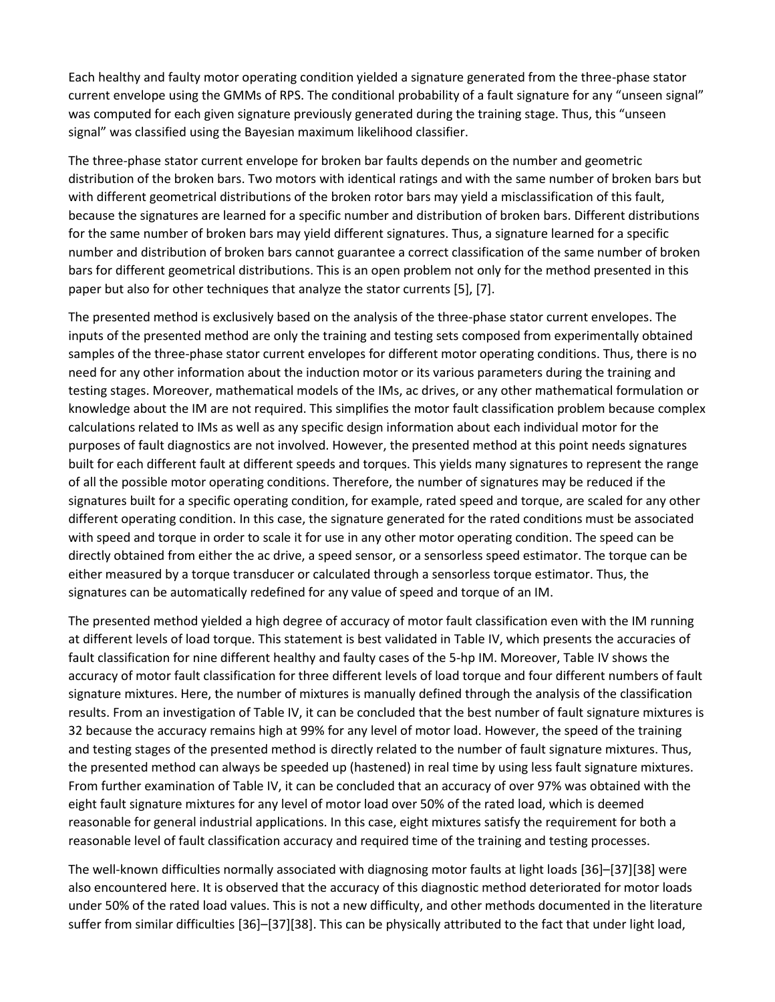Each healthy and faulty motor operating condition yielded a signature generated from the three-phase stator current envelope using the GMMs of RPS. The conditional probability of a fault signature for any "unseen signal" was computed for each given signature previously generated during the training stage. Thus, this "unseen signal" was classified using the Bayesian maximum likelihood classifier.

The three-phase stator current envelope for broken bar faults depends on the number and geometric distribution of the broken bars. Two motors with identical ratings and with the same number of broken bars but with different geometrical distributions of the broken rotor bars may yield a misclassification of this fault, because the signatures are learned for a specific number and distribution of broken bars. Different distributions for the same number of broken bars may yield different signatures. Thus, a signature learned for a specific number and distribution of broken bars cannot guarantee a correct classification of the same number of broken bars for different geometrical distributions. This is an open problem not only for the method presented in this paper but also for other techniques that analyze the stator currents [5], [7].

The presented method is exclusively based on the analysis of the three-phase stator current envelopes. The inputs of the presented method are only the training and testing sets composed from experimentally obtained samples of the three-phase stator current envelopes for different motor operating conditions. Thus, there is no need for any other information about the induction motor or its various parameters during the training and testing stages. Moreover, mathematical models of the IMs, ac drives, or any other mathematical formulation or knowledge about the IM are not required. This simplifies the motor fault classification problem because complex calculations related to IMs as well as any specific design information about each individual motor for the purposes of fault diagnostics are not involved. However, the presented method at this point needs signatures built for each different fault at different speeds and torques. This yields many signatures to represent the range of all the possible motor operating conditions. Therefore, the number of signatures may be reduced if the signatures built for a specific operating condition, for example, rated speed and torque, are scaled for any other different operating condition. In this case, the signature generated for the rated conditions must be associated with speed and torque in order to scale it for use in any other motor operating condition. The speed can be directly obtained from either the ac drive, a speed sensor, or a sensorless speed estimator. The torque can be either measured by a torque transducer or calculated through a sensorless torque estimator. Thus, the signatures can be automatically redefined for any value of speed and torque of an IM.

The presented method yielded a high degree of accuracy of motor fault classification even with the IM running at different levels of load torque. This statement is best validated in Table IV, which presents the accuracies of fault classification for nine different healthy and faulty cases of the 5-hp IM. Moreover, Table IV shows the accuracy of motor fault classification for three different levels of load torque and four different numbers of fault signature mixtures. Here, the number of mixtures is manually defined through the analysis of the classification results. From an investigation of Table IV, it can be concluded that the best number of fault signature mixtures is 32 because the accuracy remains high at 99% for any level of motor load. However, the speed of the training and testing stages of the presented method is directly related to the number of fault signature mixtures. Thus, the presented method can always be speeded up (hastened) in real time by using less fault signature mixtures. From further examination of Table IV, it can be concluded that an accuracy of over 97% was obtained with the eight fault signature mixtures for any level of motor load over 50% of the rated load, which is deemed reasonable for general industrial applications. In this case, eight mixtures satisfy the requirement for both a reasonable level of fault classification accuracy and required time of the training and testing processes.

The well-known difficulties normally associated with diagnosing motor faults at light loads [36]–[37][38] were also encountered here. It is observed that the accuracy of this diagnostic method deteriorated for motor loads under 50% of the rated load values. This is not a new difficulty, and other methods documented in the literature suffer from similar difficulties [36]–[37][38]. This can be physically attributed to the fact that under light load,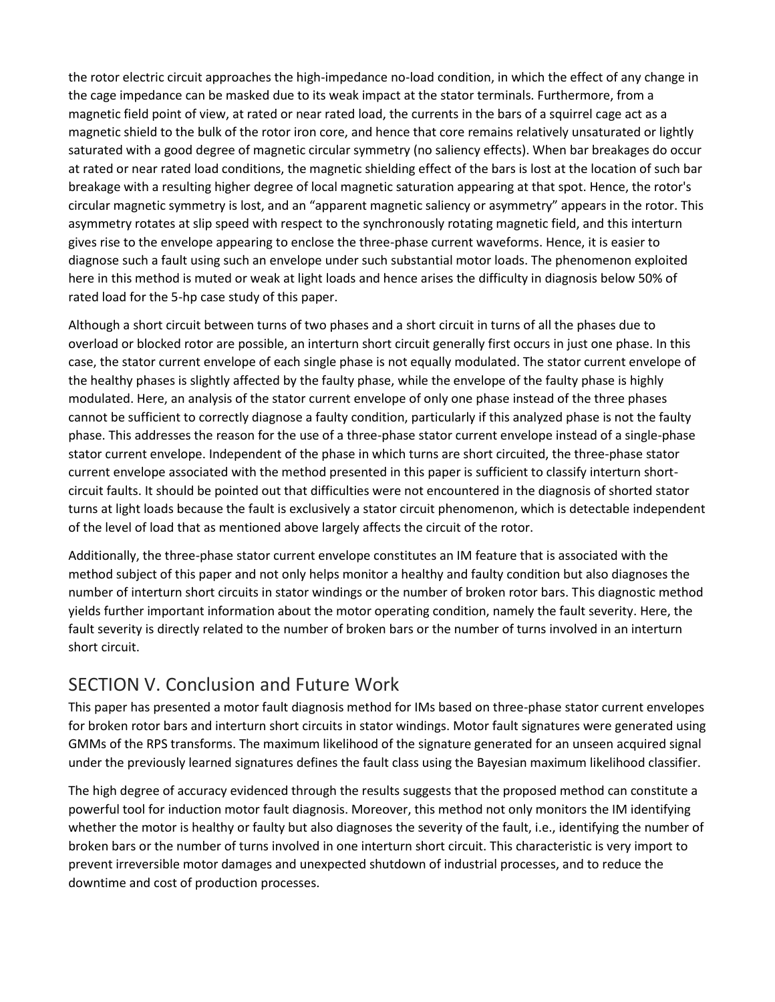the rotor electric circuit approaches the high-impedance no-load condition, in which the effect of any change in the cage impedance can be masked due to its weak impact at the stator terminals. Furthermore, from a magnetic field point of view, at rated or near rated load, the currents in the bars of a squirrel cage act as a magnetic shield to the bulk of the rotor iron core, and hence that core remains relatively unsaturated or lightly saturated with a good degree of magnetic circular symmetry (no saliency effects). When bar breakages do occur at rated or near rated load conditions, the magnetic shielding effect of the bars is lost at the location of such bar breakage with a resulting higher degree of local magnetic saturation appearing at that spot. Hence, the rotor's circular magnetic symmetry is lost, and an "apparent magnetic saliency or asymmetry" appears in the rotor. This asymmetry rotates at slip speed with respect to the synchronously rotating magnetic field, and this interturn gives rise to the envelope appearing to enclose the three-phase current waveforms. Hence, it is easier to diagnose such a fault using such an envelope under such substantial motor loads. The phenomenon exploited here in this method is muted or weak at light loads and hence arises the difficulty in diagnosis below 50% of rated load for the 5-hp case study of this paper.

Although a short circuit between turns of two phases and a short circuit in turns of all the phases due to overload or blocked rotor are possible, an interturn short circuit generally first occurs in just one phase. In this case, the stator current envelope of each single phase is not equally modulated. The stator current envelope of the healthy phases is slightly affected by the faulty phase, while the envelope of the faulty phase is highly modulated. Here, an analysis of the stator current envelope of only one phase instead of the three phases cannot be sufficient to correctly diagnose a faulty condition, particularly if this analyzed phase is not the faulty phase. This addresses the reason for the use of a three-phase stator current envelope instead of a single-phase stator current envelope. Independent of the phase in which turns are short circuited, the three-phase stator current envelope associated with the method presented in this paper is sufficient to classify interturn shortcircuit faults. It should be pointed out that difficulties were not encountered in the diagnosis of shorted stator turns at light loads because the fault is exclusively a stator circuit phenomenon, which is detectable independent of the level of load that as mentioned above largely affects the circuit of the rotor.

Additionally, the three-phase stator current envelope constitutes an IM feature that is associated with the method subject of this paper and not only helps monitor a healthy and faulty condition but also diagnoses the number of interturn short circuits in stator windings or the number of broken rotor bars. This diagnostic method yields further important information about the motor operating condition, namely the fault severity. Here, the fault severity is directly related to the number of broken bars or the number of turns involved in an interturn short circuit.

#### SECTION V. Conclusion and Future Work

This paper has presented a motor fault diagnosis method for IMs based on three-phase stator current envelopes for broken rotor bars and interturn short circuits in stator windings. Motor fault signatures were generated using GMMs of the RPS transforms. The maximum likelihood of the signature generated for an unseen acquired signal under the previously learned signatures defines the fault class using the Bayesian maximum likelihood classifier.

The high degree of accuracy evidenced through the results suggests that the proposed method can constitute a powerful tool for induction motor fault diagnosis. Moreover, this method not only monitors the IM identifying whether the motor is healthy or faulty but also diagnoses the severity of the fault, i.e., identifying the number of broken bars or the number of turns involved in one interturn short circuit. This characteristic is very import to prevent irreversible motor damages and unexpected shutdown of industrial processes, and to reduce the downtime and cost of production processes.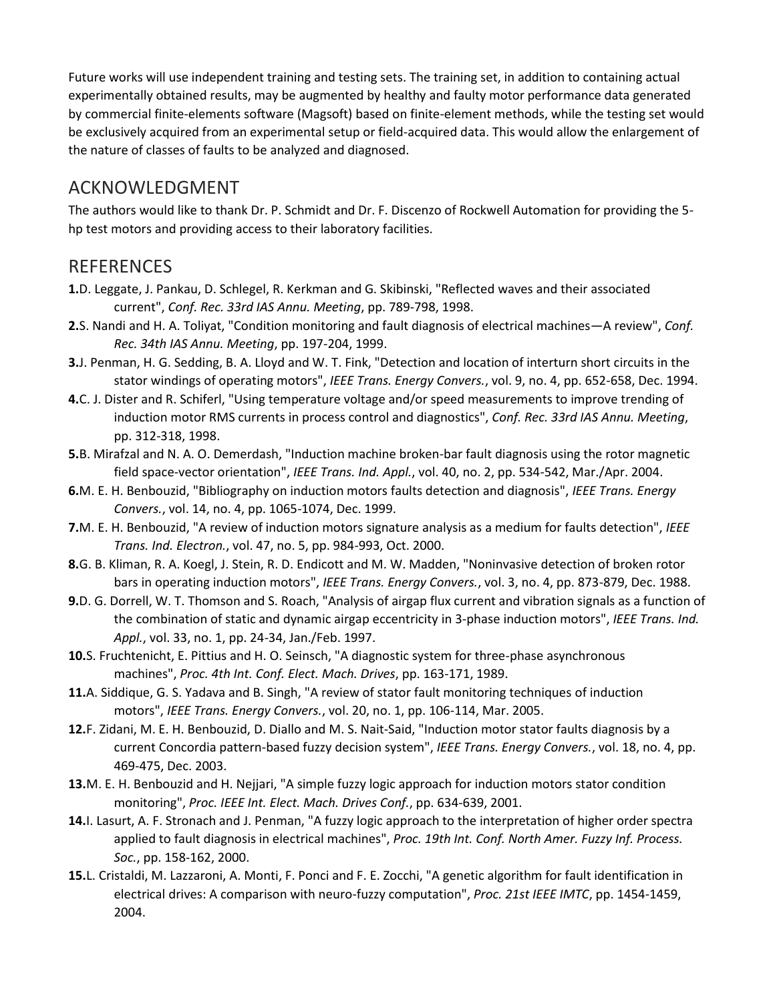Future works will use independent training and testing sets. The training set, in addition to containing actual experimentally obtained results, may be augmented by healthy and faulty motor performance data generated by commercial finite-elements software (Magsoft) based on finite-element methods, while the testing set would be exclusively acquired from an experimental setup or field-acquired data. This would allow the enlargement of the nature of classes of faults to be analyzed and diagnosed.

#### ACKNOWLEDGMENT

The authors would like to thank Dr. P. Schmidt and Dr. F. Discenzo of Rockwell Automation for providing the 5 hp test motors and providing access to their laboratory facilities.

#### REFERENCES

- **1.**D. Leggate, J. Pankau, D. Schlegel, R. Kerkman and G. Skibinski, "Reflected waves and their associated current", *Conf. Rec. 33rd IAS Annu. Meeting*, pp. 789-798, 1998.
- **2.**S. Nandi and H. A. Toliyat, "Condition monitoring and fault diagnosis of electrical machines—A review", *Conf. Rec. 34th IAS Annu. Meeting*, pp. 197-204, 1999.
- **3.**J. Penman, H. G. Sedding, B. A. Lloyd and W. T. Fink, "Detection and location of interturn short circuits in the stator windings of operating motors", *IEEE Trans. Energy Convers.*, vol. 9, no. 4, pp. 652-658, Dec. 1994.
- **4.**C. J. Dister and R. Schiferl, "Using temperature voltage and/or speed measurements to improve trending of induction motor RMS currents in process control and diagnostics", *Conf. Rec. 33rd IAS Annu. Meeting*, pp. 312-318, 1998.
- **5.**B. Mirafzal and N. A. O. Demerdash, "Induction machine broken-bar fault diagnosis using the rotor magnetic field space-vector orientation", *IEEE Trans. Ind. Appl.*, vol. 40, no. 2, pp. 534-542, Mar./Apr. 2004.
- **6.**M. E. H. Benbouzid, "Bibliography on induction motors faults detection and diagnosis", *IEEE Trans. Energy Convers.*, vol. 14, no. 4, pp. 1065-1074, Dec. 1999.
- **7.**M. E. H. Benbouzid, "A review of induction motors signature analysis as a medium for faults detection", *IEEE Trans. Ind. Electron.*, vol. 47, no. 5, pp. 984-993, Oct. 2000.
- **8.**G. B. Kliman, R. A. Koegl, J. Stein, R. D. Endicott and M. W. Madden, "Noninvasive detection of broken rotor bars in operating induction motors", *IEEE Trans. Energy Convers.*, vol. 3, no. 4, pp. 873-879, Dec. 1988.
- **9.**D. G. Dorrell, W. T. Thomson and S. Roach, "Analysis of airgap flux current and vibration signals as a function of the combination of static and dynamic airgap eccentricity in 3-phase induction motors", *IEEE Trans. Ind. Appl.*, vol. 33, no. 1, pp. 24-34, Jan./Feb. 1997.
- **10.**S. Fruchtenicht, E. Pittius and H. O. Seinsch, "A diagnostic system for three-phase asynchronous machines", *Proc. 4th Int. Conf. Elect. Mach. Drives*, pp. 163-171, 1989.
- **11.**A. Siddique, G. S. Yadava and B. Singh, "A review of stator fault monitoring techniques of induction motors", *IEEE Trans. Energy Convers.*, vol. 20, no. 1, pp. 106-114, Mar. 2005.
- **12.**F. Zidani, M. E. H. Benbouzid, D. Diallo and M. S. Nait-Said, "Induction motor stator faults diagnosis by a current Concordia pattern-based fuzzy decision system", *IEEE Trans. Energy Convers.*, vol. 18, no. 4, pp. 469-475, Dec. 2003.
- **13.**M. E. H. Benbouzid and H. Nejjari, "A simple fuzzy logic approach for induction motors stator condition monitoring", *Proc. IEEE Int. Elect. Mach. Drives Conf.*, pp. 634-639, 2001.
- **14.**I. Lasurt, A. F. Stronach and J. Penman, "A fuzzy logic approach to the interpretation of higher order spectra applied to fault diagnosis in electrical machines", *Proc. 19th Int. Conf. North Amer. Fuzzy Inf. Process. Soc.*, pp. 158-162, 2000.
- **15.**L. Cristaldi, M. Lazzaroni, A. Monti, F. Ponci and F. E. Zocchi, "A genetic algorithm for fault identification in electrical drives: A comparison with neuro-fuzzy computation", *Proc. 21st IEEE IMTC*, pp. 1454-1459, 2004.